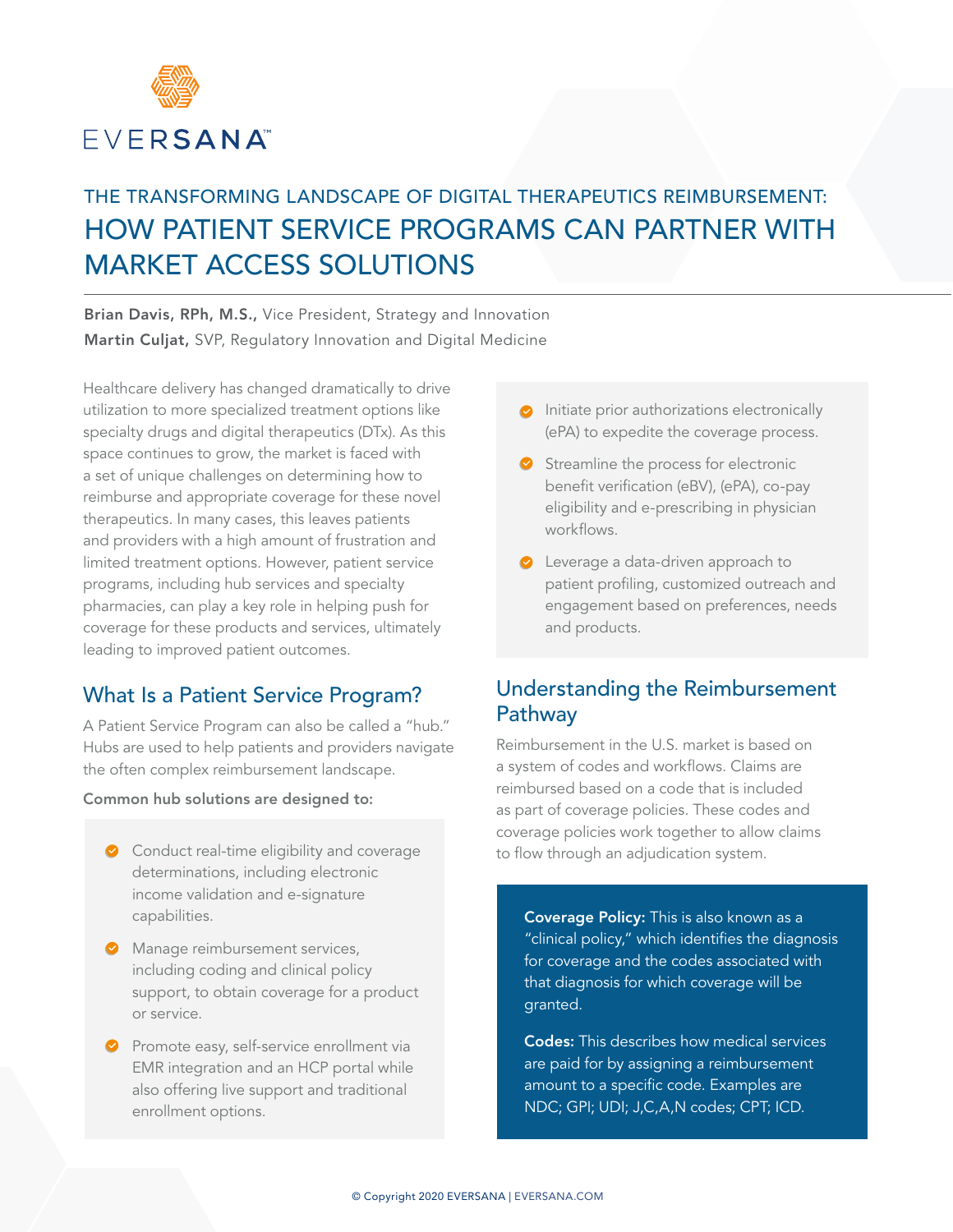

# THE TRANSFORMING LANDSCAPE OF DIGITAL THERAPEUTICS REIMBURSEMENT: HOW PATIENT SERVICE PROGRAMS CAN PARTNER WITH MARKET ACCESS SOLUTIONS

Brian Davis, RPh, M.S., Vice President, Strategy and Innovation Martin Culjat, SVP, Regulatory Innovation and Digital Medicine

Healthcare delivery has changed dramatically to drive utilization to more specialized treatment options like specialty drugs and digital therapeutics (DTx). As this space continues to grow, the market is faced with a set of unique challenges on determining how to reimburse and appropriate coverage for these novel therapeutics. In many cases, this leaves patients and providers with a high amount of frustration and limited treatment options. However, patient service programs, including hub services and specialty pharmacies, can play a key role in helping push for coverage for these products and services, ultimately leading to improved patient outcomes.

# What Is a Patient Service Program?

A Patient Service Program can also be called a "hub." Hubs are used to help patients and providers navigate the often complex reimbursement landscape.

#### Common hub solutions are designed to:

- **◆** Conduct real-time eligibility and coverage determinations, including electronic income validation and e-signature capabilities.
- Manage reimbursement services, including coding and clinical policy support, to obtain coverage for a product or service.
- **Promote easy, self-service enrollment via** EMR integration and an HCP portal while also offering live support and traditional enrollment options.
- $\bullet$  Initiate prior authorizations electronically (ePA) to expedite the coverage process.
- Streamline the process for electronic benefit verification (eBV), (ePA), co-pay eligibility and e-prescribing in physician workflows.
- **C** Leverage a data-driven approach to patient profiling, customized outreach and engagement based on preferences, needs and products.

### Understanding the Reimbursement Pathway

Reimbursement in the U.S. market is based on a system of codes and workflows. Claims are reimbursed based on a code that is included as part of coverage policies. These codes and coverage policies work together to allow claims to flow through an adjudication system.

Coverage Policy: This is also known as a "clinical policy," which identifies the diagnosis for coverage and the codes associated with that diagnosis for which coverage will be granted.

Codes: This describes how medical services are paid for by assigning a reimbursement amount to a specific code. Examples are NDC; GPI; UDI; J,C,A,N codes; CPT; ICD.